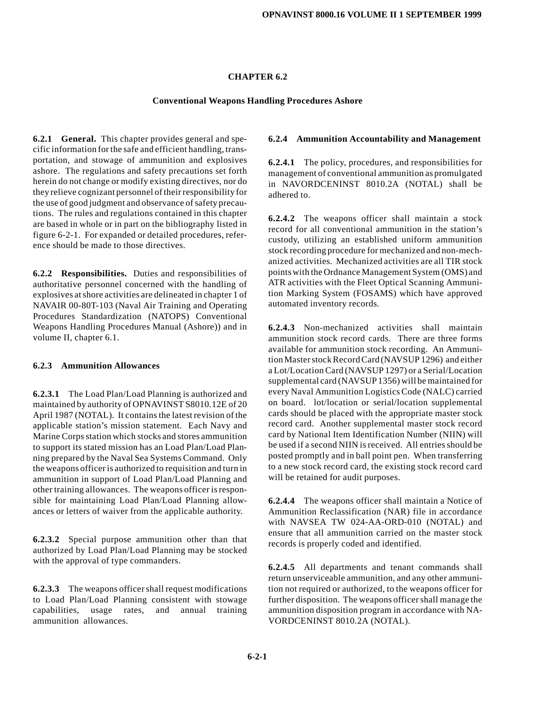### **CHAPTER 6.2**

#### **Conventional Weapons Handling Procedures Ashore**

**6.2.1 General.** This chapter provides general and specific information for the safe and efficient handling, transportation, and stowage of ammunition and explosives ashore. The regulations and safety precautions set forth herein do not change or modify existing directives, nor do they relieve cognizant personnel of their responsibility for the use of good judgment and observance of safety precautions. The rules and regulations contained in this chapter are based in whole or in part on the bibliography listed in figure 6-2-1. For expanded or detailed procedures, reference should be made to those directives.

**6.2.2 Responsibilities.** Duties and responsibilities of authoritative personnel concerned with the handling of explosives at shore activities are delineated in chapter 1 of NAVAIR 00-80T-103 (Naval Air Training and Operating Procedures Standardization (NATOPS) Conventional Weapons Handling Procedures Manual (Ashore)) and in volume II, chapter 6.1.

## **6.2.3 Ammunition Allowances**

**6.2.3.1** The Load Plan/Load Planning is authorized and maintained by authority of OPNAVINST S8010.12E of 20 April 1987 (NOTAL). It contains the latest revision of the applicable station's mission statement. Each Navy and Marine Corps station which stocks and stores ammunition to support its stated mission has an Load Plan/Load Planning prepared by the Naval Sea Systems Command. Only the weapons officer is authorized to requisition and turn in ammunition in support of Load Plan/Load Planning and other training allowances. The weapons officer is responsible for maintaining Load Plan/Load Planning allowances or letters of waiver from the applicable authority.

**6.2.3.2** Special purpose ammunition other than that authorized by Load Plan/Load Planning may be stocked with the approval of type commanders.

**6.2.3.3** The weapons officer shall request modifications to Load Plan/Load Planning consistent with stowage capabilities, usage rates, and annual training capabilities, usage rates, ammunition allowances.

#### **6.2.4 Ammunition Accountability and Management**

**6.2.4.1** The policy, procedures, and responsibilities for management of conventional ammunition aspromulgated in NAVORDCENINST 8010.2A (NOTAL) shall be adhered to.

**6.2.4.2** The weapons officer shall maintain a stock record for all conventional ammunition in the station's custody, utilizing an established uniform ammunition stock recording procedure for mechanized and non-mechanized activities. Mechanized activities are all TIR stock pointswith the Ordnance Management System (OMS) and ATR activities with the Fleet Optical Scanning Ammunition Marking System (FOSAMS) which have approved automated inventory records.

**6.2.4.3** Non-mechanized activities shall maintain ammunition stock record cards. There are three forms available for ammunition stock recording. An Ammunition Master stock Record Card (NAVSUP 1296) and either a Lot/Location Card (NAVSUP 1297) or a Serial/Location supplemental card (NAVSUP 1356) will be maintained for every Naval Ammunition Logistics Code (NALC) carried on board. lot/location or serial/location supplemental cards should be placed with the appropriate master stock record card. Another supplemental master stock record card by National Item Identification Number (NIIN) will be used if a second NIIN is received. All entries should be posted promptly and in ball point pen. When transferring to a new stock record card, the existing stock record card will be retained for audit purposes.

**6.2.4.4** The weapons officer shall maintain a Notice of Ammunition Reclassification (NAR) file in accordance with NAVSEA TW 024-AA-ORD-010 (NOTAL) and ensure that all ammunition carried on the master stock records is properly coded and identified.

**6.2.4.5** All departments and tenant commands shall return unserviceable ammunition, and any other ammunition not required or authorized, to the weapons officer for further disposition. The weapons officer shall manage the ammunition disposition program in accordance with NA-VORDCENINST 8010.2A (NOTAL).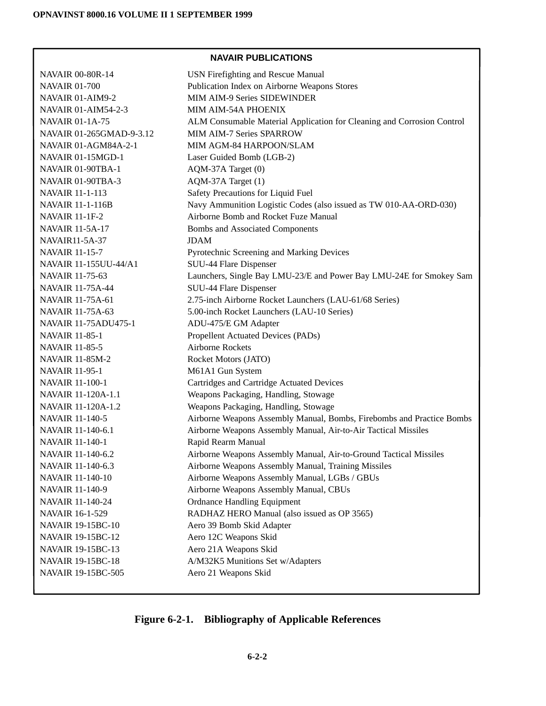# **NAVAIR PUBLICATIONS**

| <b>NAVAIR 00-80R-14</b>      | <b>USN Firefighting and Rescue Manual</b>                              |
|------------------------------|------------------------------------------------------------------------|
| <b>NAVAIR 01-700</b>         | Publication Index on Airborne Weapons Stores                           |
| NAVAIR 01-AIM9-2             | MIM AIM-9 Series SIDEWINDER                                            |
| <b>NAVAIR 01-AIM54-2-3</b>   | MIM AIM-54A PHOENIX                                                    |
| <b>NAVAIR 01-1A-75</b>       | ALM Consumable Material Application for Cleaning and Corrosion Control |
| NAVAIR 01-265GMAD-9-3.12     | <b>MIM AIM-7 Series SPARROW</b>                                        |
| NAVAIR 01-AGM84A-2-1         | MIM AGM-84 HARPOON/SLAM                                                |
| NAVAIR 01-15MGD-1            | Laser Guided Bomb (LGB-2)                                              |
| NAVAIR 01-90TBA-1            | AQM-37A Target (0)                                                     |
| NAVAIR 01-90TBA-3            | AQM-37A Target (1)                                                     |
| <b>NAVAIR 11-1-113</b>       | Safety Precautions for Liquid Fuel                                     |
| <b>NAVAIR 11-1-116B</b>      | Navy Ammunition Logistic Codes (also issued as TW 010-AA-ORD-030)      |
| <b>NAVAIR 11-1F-2</b>        | Airborne Bomb and Rocket Fuze Manual                                   |
| <b>NAVAIR 11-5A-17</b>       | <b>Bombs and Associated Components</b>                                 |
| NAVAIR11-5A-37               | <b>JDAM</b>                                                            |
| <b>NAVAIR 11-15-7</b>        | Pyrotechnic Screening and Marking Devices                              |
| <b>NAVAIR 11-155UU-44/A1</b> | SUU-44 Flare Dispenser                                                 |
| <b>NAVAIR 11-75-63</b>       | Launchers, Single Bay LMU-23/E and Power Bay LMU-24E for Smokey Sam    |
| <b>NAVAIR 11-75A-44</b>      | SUU-44 Flare Dispenser                                                 |
| <b>NAVAIR 11-75A-61</b>      | 2.75-inch Airborne Rocket Launchers (LAU-61/68 Series)                 |
| <b>NAVAIR 11-75A-63</b>      | 5.00-inch Rocket Launchers (LAU-10 Series)                             |
| <b>NAVAIR 11-75ADU475-1</b>  | ADU-475/E GM Adapter                                                   |
| <b>NAVAIR 11-85-1</b>        | Propellent Actuated Devices (PADs)                                     |
| <b>NAVAIR 11-85-5</b>        | Airborne Rockets                                                       |
| <b>NAVAIR 11-85M-2</b>       | Rocket Motors (JATO)                                                   |
| <b>NAVAIR 11-95-1</b>        | M61A1 Gun System                                                       |
| <b>NAVAIR 11-100-1</b>       | Cartridges and Cartridge Actuated Devices                              |
| NAVAIR 11-120A-1.1           | Weapons Packaging, Handling, Stowage                                   |
| NAVAIR 11-120A-1.2           | Weapons Packaging, Handling, Stowage                                   |
| <b>NAVAIR 11-140-5</b>       | Airborne Weapons Assembly Manual, Bombs, Firebombs and Practice Bombs  |
| NAVAIR 11-140-6.1            | Airborne Weapons Assembly Manual, Air-to-Air Tactical Missiles         |
| <b>NAVAIR 11-140-1</b>       | Rapid Rearm Manual                                                     |
| NAVAIR 11-140-6.2            | Airborne Weapons Assembly Manual, Air-to-Ground Tactical Missiles      |
| NAVAIR 11-140-6.3            | Airborne Weapons Assembly Manual, Training Missiles                    |
| <b>NAVAIR 11-140-10</b>      | Airborne Weapons Assembly Manual, LGBs / GBUs                          |
| <b>NAVAIR 11-140-9</b>       | Airborne Weapons Assembly Manual, CBUs                                 |
| <b>NAVAIR 11-140-24</b>      | <b>Ordnance Handling Equipment</b>                                     |
| NAVAIR 16-1-529              | RADHAZ HERO Manual (also issued as OP 3565)                            |
| <b>NAVAIR 19-15BC-10</b>     | Aero 39 Bomb Skid Adapter                                              |
| <b>NAVAIR 19-15BC-12</b>     | Aero 12C Weapons Skid                                                  |
| <b>NAVAIR 19-15BC-13</b>     | Aero 21A Weapons Skid                                                  |
| <b>NAVAIR 19-15BC-18</b>     | A/M32K5 Munitions Set w/Adapters                                       |
| NAVAIR 19-15BC-505           | Aero 21 Weapons Skid                                                   |
|                              |                                                                        |

# **Figure 6-2-1. Bibliography of Applicable References**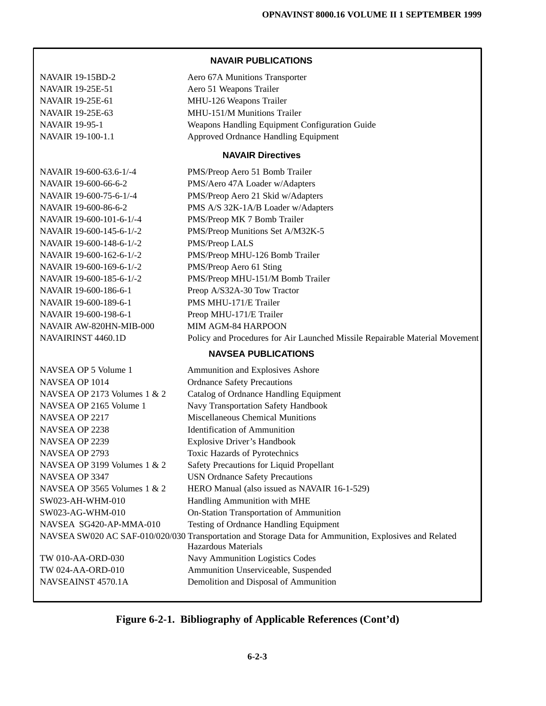NAVAIR 19-15BD-2 Aero 67A Munitions Transporter NAVAIR 19-25E-51 Aero 51 Weapons Trailer NAVAIR 19-25E-61 MHU-126 Weapons Trailer NAVAIR 19-25E-63 MHU-151/M Munitions Trailer NAVAIR 19-95-1 Weapons Handling Equipment Configuration Guide NAVAIR 19-100-1.1 Approved Ordnance Handling Equipment **NAVAIR Directives** NAVAIR 19-600-63.6-1/-4 PMS/Preop Aero 51 Bomb Trailer NAVAIR 19-600-66-6-2 PMS/Aero 47A Loader w/Adapters NAVAIR 19-600-75-6-1/-4 PMS/Preop Aero 21 Skid w/Adapters NAVAIR 19-600-86-6-2 PMS A/S 32K-1A/B Loader w/Adapters NAVAIR 19-600-101-6-1/-4 PMS/Preop MK 7 Bomb Trailer NAVAIR 19-600-145-6-1/-2 PMS/Preop Munitions Set A/M32K-5 NAVAIR 19-600-148-6-1/-2 PMS/Preop LALS NAVAIR 19-600-162-6-1/-2 PMS/Preop MHU-126 Bomb Trailer NAVAIR 19-600-169-6-1/-2 PMS/Preop Aero 61 Sting NAVAIR 19-600-185-6-1/-2 PMS/Preop MHU-151/M Bomb Trailer NAVAIR 19-600-186-6-1 Preop A/S32A-30 Tow Tractor NAVAIR 19-600-189-6-1 PMS MHU-171/E Trailer NAVAIR 19-600-198-6-1 Preop MHU-171/E Trailer NAVAIR AW-820HN-MIB-000 MIM AGM-84 HARPOON NAVAIRINST 4460.1D Policy and Procedures for Air Launched Missile Repairable Material Movement **NAVSEA PUBLICATIONS** NAVSEA OP 5 Volume 1 Ammunition and Explosives Ashore NAVSEA OP 1014 Ordnance Safety Precautions NAVSEA OP 2173 Volumes 1 & 2 Catalog of Ordnance Handling Equipment NAVSEA OP 2165 Volume 1 Navy Transportation Safety Handbook NAVSEA OP 2217 Miscellaneous Chemical Munitions NAVSEA OP 2238 Identification of Ammunition NAVSEA OP 2239 Explosive Driver's Handbook NAVSEA OP 2793 Toxic Hazards of Pyrotechnics NAVSEA OP 3199 Volumes 1 & 2 Safety Precautions for Liquid Propellant NAVSEA OP 3347 USN Ordnance Safety Precautions NAVSEA OP 3565 Volumes 1 & 2 HERO Manual (also issued as NAVAIR 16-1-529) SW023-AH-WHM-010 Handling Ammunition with MHE SW023-AG-WHM-010 On-Station Transportation of Ammunition NAVSEA SG420-AP-MMA-010 Testing of Ordnance Handling Equipment NAVSEA SW020 AC SAF-010/020/030 Transportation and Storage Data for Ammunition, Explosives and Related Hazardous Materials TW 010-AA-ORD-030 Navy Ammunition Logistics Codes TW 024-AA-ORD-010 Ammunition Unserviceable, Suspended NAVSEAINST 4570.1A Demolition and Disposal of Ammunition

**NAVAIR PUBLICATIONS**

**Figure 6-2-1. Bibliography of Applicable References (Cont'd)**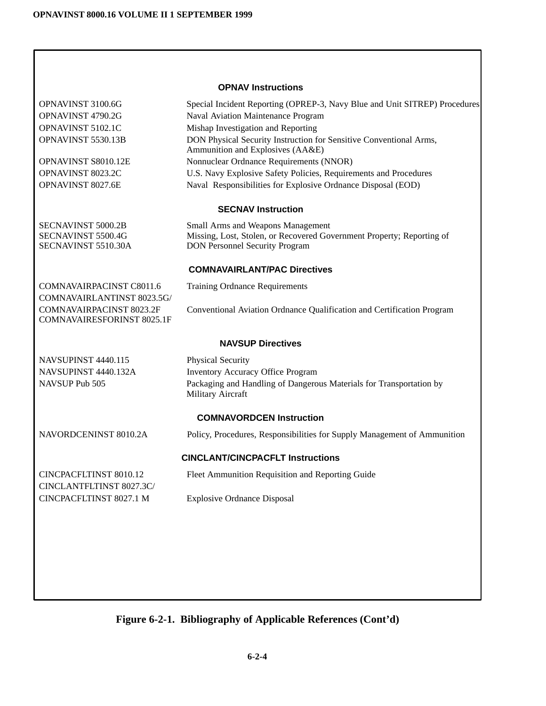| <b>OPNAV Instructions</b> |                                                               |                                                                                                        |
|---------------------------|---------------------------------------------------------------|--------------------------------------------------------------------------------------------------------|
|                           | OPNAVINST 3100.6G                                             | Special Incident Reporting (OPREP-3, Navy Blue and Unit SITREP) Procedures                             |
|                           | OPNAVINST 4790.2G                                             | Naval Aviation Maintenance Program                                                                     |
|                           | OPNAVINST 5102.1C                                             | Mishap Investigation and Reporting                                                                     |
|                           | OPNAVINST 5530.13B                                            | DON Physical Security Instruction for Sensitive Conventional Arms,<br>Ammunition and Explosives (AA&E) |
|                           | OPNAVINST S8010.12E                                           | Nonnuclear Ordnance Requirements (NNOR)                                                                |
|                           | OPNAVINST 8023.2C                                             | U.S. Navy Explosive Safety Policies, Requirements and Procedures                                       |
|                           | OPNAVINST 8027.6E                                             | Naval Responsibilities for Explosive Ordnance Disposal (EOD)                                           |
|                           |                                                               | <b>SECNAV Instruction</b>                                                                              |
|                           | <b>SECNAVINST 5000.2B</b>                                     | Small Arms and Weapons Management                                                                      |
|                           | SECNAVINST 5500.4G                                            | Missing, Lost, Stolen, or Recovered Government Property; Reporting of                                  |
|                           | SECNAVINST 5510.30A                                           | <b>DON Personnel Security Program</b>                                                                  |
|                           |                                                               | <b>COMNAVAIRLANT/PAC Directives</b>                                                                    |
|                           | COMNAVAIRPACINST C8011.6                                      | <b>Training Ordnance Requirements</b>                                                                  |
|                           | COMNAVAIRLANTINST 8023.5G/                                    |                                                                                                        |
|                           | COMNAVAIRPACINST 8023.2F<br><b>COMNAVAIRESFORINST 8025.1F</b> | Conventional Aviation Ordnance Qualification and Certification Program                                 |
|                           |                                                               | <b>NAVSUP Directives</b>                                                                               |
|                           | NAVSUPINST 4440.115                                           | Physical Security                                                                                      |
|                           | NAVSUPINST 4440.132A                                          | Inventory Accuracy Office Program                                                                      |
|                           | NAVSUP Pub 505                                                | Packaging and Handling of Dangerous Materials for Transportation by<br>Military Aircraft               |
|                           |                                                               | <b>COMNAVORDCEN Instruction</b>                                                                        |
|                           | NAVORDCENINST 8010.2A                                         | Policy, Procedures, Responsibilities for Supply Management of Ammunition                               |
|                           |                                                               | <b>CINCLANT/CINCPACFLT Instructions</b>                                                                |
|                           | <b>CINCPACFLTINST 8010.12</b><br>CINCLANTFLTINST 8027.3C/     | Fleet Ammunition Requisition and Reporting Guide                                                       |
|                           | CINCPACFLTINST 8027.1 M                                       | <b>Explosive Ordnance Disposal</b>                                                                     |
|                           |                                                               |                                                                                                        |
|                           |                                                               |                                                                                                        |
|                           |                                                               |                                                                                                        |

# **Figure 6-2-1. Bibliography of Applicable References (Cont'd)**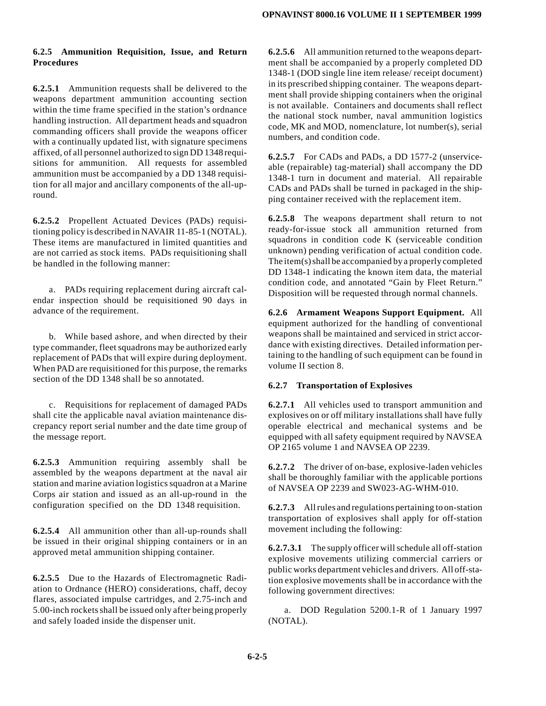## **6.2.5 Ammunition Requisition, Issue, and Return Procedures**

**6.2.5.1** Ammunition requests shall be delivered to the weapons department ammunition accounting section within the time frame specified in the station's ordnance handling instruction. All department heads and squadron commanding officers shall provide the weapons officer with a continually updated list, with signature specimens affixed, of all personnel authorized to sign DD 1348 requisitions for ammunition. All requests for assembled ammunition must be accompanied by a DD 1348 requisition for all major and ancillary components of the all-upround.

**6.2.5.2** Propellent Actuated Devices (PADs) requisitioning policy is described in NAVAIR 11-85-1 (NOTAL). These items are manufactured in limited quantities and are not carried as stock items. PADs requisitioning shall be handled in the following manner:

a. PADs requiring replacement during aircraft calendar inspection should be requisitioned 90 days in advance of the requirement.

b. While based ashore, and when directed by their type commander, fleet squadrons may be authorized early replacement of PADs that will expire during deployment. When PAD are requisitioned for this purpose, the remarks section of the DD 1348 shall be so annotated.

c. Requisitions for replacement of damaged PADs shall cite the applicable naval aviation maintenance discrepancy report serial number and the date time group of the message report.

**6.2.5.3** Ammunition requiring assembly shall be assembled by the weapons department at the naval air station and marine aviation logistics squadron at a Marine Corps air station and issued as an all-up-round in the configuration specified on the DD 1348 requisition.

**6.2.5.4** All ammunition other than all-up-rounds shall be issued in their original shipping containers or in an approved metal ammunition shipping container.

**6.2.5.5** Due to the Hazards of Electromagnetic Radiation to Ordnance (HERO) considerations, chaff, decoy flares, associated impulse cartridges, and 2.75-inch and 5.00-inch rockets shall be issued only after being properly and safely loaded inside the dispenser unit.

**6.2.5.6** All ammunition returned to the weapons department shall be accompanied by a properly completed DD 1348-1 (DOD single line item release/ receipt document) in its prescribed shipping container. The weapons department shall provide shipping containers when the original is not available. Containers and documents shall reflect the national stock number, naval ammunition logistics code, MK and MOD, nomenclature, lot number(s), serial numbers, and condition code.

**6.2.5.7** For CADs and PADs, a DD 1577-2 (unserviceable (repairable) tag-material) shall accompany the DD 1348-1 turn in document and material. All repairable CADs and PADs shall be turned in packaged in the shipping container received with the replacement item.

**6.2.5.8** The weapons department shall return to not ready-for-issue stock all ammunition returned from squadrons in condition code K (serviceable condition unknown) pending verification of actual condition code. The item(s) shall be accompanied by a properly completed DD 1348-1 indicating the known item data, the material condition code, and annotated "Gain by Fleet Return." Disposition will be requested through normal channels.

**6.2.6 Armament Weapons Support Equipment.** All equipment authorized for the handling of conventional weapons shall be maintained and serviced in strict accordance with existing directives. Detailed information pertaining to the handling of such equipment can be found in volume II section 8.

## **6.2.7 Transportation of Explosives**

**6.2.7.1** All vehicles used to transport ammunition and explosives on or off military installations shall have fully operable electrical and mechanical systems and be equipped with all safety equipment required by NAVSEA OP 2165 volume 1 and NAVSEA OP 2239.

**6.2.7.2** The driver of on-base, explosive-laden vehicles shall be thoroughly familiar with the applicable portions of NAVSEA OP 2239 and SW023-AG-WHM-010.

**6.2.7.3** All rulesand regulationspertaining to on-station transportation of explosives shall apply for off-station movement including the following:

**6.2.7.3.1** The supply officer will schedule all off-station explosive movements utilizing commercial carriers or public works department vehicles and drivers. All off-station explosive movements shall be in accordance with the following government directives:

a. DOD Regulation 5200.1-R of 1 January 1997 (NOTAL).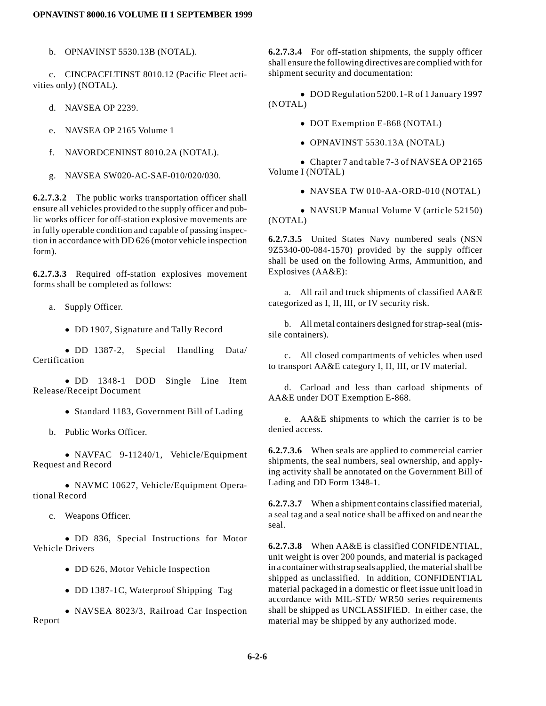b. OPNAVINST 5530.13B (NOTAL).

c. CINCPACFLTINST 8010.12 (Pacific Fleet activities only) (NOTAL).

- d. NAVSEA OP 2239.
- e. NAVSEA OP 2165 Volume 1
- f. NAVORDCENINST 8010.2A (NOTAL).
- g. NAVSEA SW020-AC-SAF-010/020/030.

**6.2.7.3.2** The public works transportation officer shall ensure all vehicles provided to the supply officer and public works officer for off-station explosive movements are in fully operable condition and capable of passing inspection in accordance with DD 626 (motor vehicle inspection form).

**6.2.7.3.3** Required off-station explosives movement forms shall be completed as follows:

- a. Supply Officer.
	- DD 1907, Signature and Tally Record

• DD 1387-2, Special Handling Data/ Certification

• DD 1348-1 DOD Single Line Item Release/Receipt Document

- Standard 1183, Government Bill of Lading
- b. Public Works Officer.

 $\bullet$  NAVFAC 9-11240/1, Vehicle/Equipment Request and Record

• NAVMC 10627, Vehicle/Equipment Operational Record

c. Weapons Officer.

• DD 836, Special Instructions for Motor Vehicle Drivers

- DD 626, Motor Vehicle Inspection
- DD 1387-1C, Waterproof Shipping Tag

• NAVSEA 8023/3, Railroad Car Inspection Report

**6.2.7.3.4** For off-station shipments, the supply officer shall ensure the following directives are complied with for shipment security and documentation:

• DOD Regulation 5200.1-R of 1 January 1997 (NOTAL)

- DOT Exemption E-868 (NOTAL)
- $\bullet$  OPNAVINST 5530.13A (NOTAL)

 $\bullet$  Chapter 7 and table 7-3 of NAVSEA OP 2165 Volume I (NOTAL)

 $\bullet$  NAVSEA TW 010-AA-ORD-010 (NOTAL)

• NAVSUP Manual Volume V (article 52150) (NOTAL)

**6.2.7.3.5** United States Navy numbered seals (NSN 9Z5340-00-084-1570) provided by the supply officer shall be used on the following Arms, Ammunition, and Explosives (AA&E):

a. All rail and truck shipments of classified AA&E categorized as I, II, III, or IV security risk.

b. All metal containers designed for strap-seal (missile containers).

c. All closed compartments of vehicles when used to transport AA&E category I, II, III, or IV material.

d. Carload and less than carload shipments of AA&E under DOT Exemption E-868.

e. AA&E shipments to which the carrier is to be denied access.

**6.2.7.3.6** When seals are applied to commercial carrier shipments, the seal numbers, seal ownership, and applying activity shall be annotated on the Government Bill of Lading and DD Form 1348-1.

**6.2.7.3.7** When a shipment contains classified material, a seal tag and a seal notice shall be affixed on and near the seal.

**6.2.7.3.8** When AA&E is classified CONFIDENTIAL, unit weight is over 200 pounds, and material is packaged in a container with strap sealsapplied, the material shall be shipped as unclassified. In addition, CONFIDENTIAL material packaged in a domestic or fleet issue unit load in accordance with MIL-STD/ WR50 series requirements shall be shipped as UNCLASSIFIED. In either case, the material may be shipped by any authorized mode.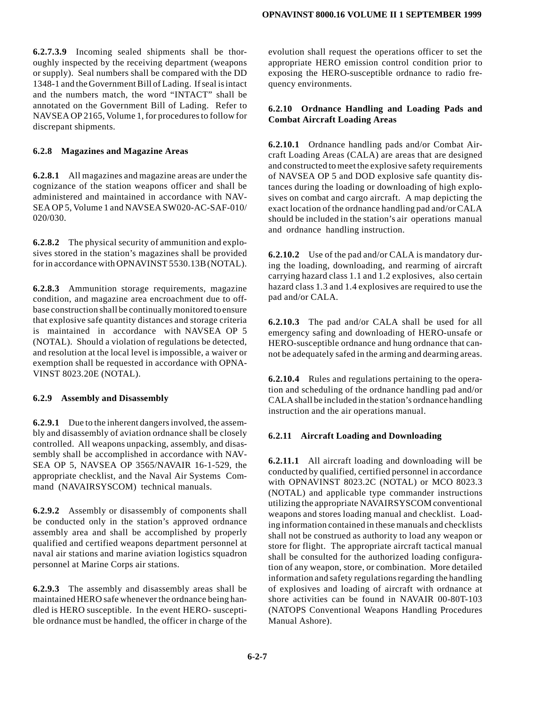**6.2.7.3.9** Incoming sealed shipments shall be thoroughly inspected by the receiving department (weapons or supply). Seal numbers shall be compared with the DD 1348-1 and the Government Bill of Lading. If seal isintact and the numbers match, the word "INTACT" shall be annotated on the Government Bill of Lading. Refer to NAVSEA OP 2165, Volume 1, for procedures to follow for discrepant shipments.

### **6.2.8 Magazines and Magazine Areas**

**6.2.8.1** All magazines and magazine areas are under the cognizance of the station weapons officer and shall be administered and maintained in accordance with NAV-SEA OP 5, Volume 1 and NAVSEA SW020-AC-SAF-010/ 020/030.

**6.2.8.2** The physical security of ammunition and explosives stored in the station's magazines shall be provided for in accordance with OPNAVINST 5530.13B (NOTAL).

**6.2.8.3** Ammunition storage requirements, magazine condition, and magazine area encroachment due to offbase construction shall be continually monitored to ensure that explosive safe quantity distances and storage criteria is maintained in accordance with NAVSEA OP 5 (NOTAL). Should a violation of regulations be detected, and resolution at the local level is impossible, a waiver or exemption shall be requested in accordance with OPNA-VINST 8023.20E (NOTAL).

#### **6.2.9 Assembly and Disassembly**

**6.2.9.1** Due to the inherent dangers involved, the assembly and disassembly of aviation ordnance shall be closely controlled. All weapons unpacking, assembly, and disassembly shall be accomplished in accordance with NAV-SEA OP 5, NAVSEA OP 3565/NAVAIR 16-1-529, the appropriate checklist, and the Naval Air Systems Command (NAVAIRSYSCOM) technical manuals.

**6.2.9.2** Assembly or disassembly of components shall be conducted only in the station's approved ordnance assembly area and shall be accomplished by properly qualified and certified weapons department personnel at naval air stations and marine aviation logistics squadron personnel at Marine Corps air stations.

**6.2.9.3** The assembly and disassembly areas shall be maintained HERO safe whenever the ordnance being handled is HERO susceptible. In the event HERO- susceptible ordnance must be handled, the officer in charge of the evolution shall request the operations officer to set the appropriate HERO emission control condition prior to exposing the HERO-susceptible ordnance to radio frequency environments.

## **6.2.10 Ordnance Handling and Loading Pads and Combat Aircraft Loading Areas**

**6.2.10.1** Ordnance handling pads and/or Combat Aircraft Loading Areas (CALA) are areas that are designed and constructed to meet the explosive safety requirements of NAVSEA OP 5 and DOD explosive safe quantity distances during the loading or downloading of high explosives on combat and cargo aircraft. A map depicting the exact location of the ordnance handling pad and/or CALA should be included in the station's air operations manual and ordnance handling instruction.

**6.2.10.2** Use of the pad and/or CALA is mandatory during the loading, downloading, and rearming of aircraft carrying hazard class 1.1 and 1.2 explosives, also certain hazard class 1.3 and 1.4 explosives are required to use the pad and/or CALA.

**6.2.10.3** The pad and/or CALA shall be used for all emergency safing and downloading of HERO-unsafe or HERO-susceptible ordnance and hung ordnance that cannot be adequately safed in the arming and dearming areas.

**6.2.10.4** Rules and regulations pertaining to the operation and scheduling of the ordnance handling pad and/or CALA shall be included in the station's ordnance handling instruction and the air operations manual.

## **6.2.11 Aircraft Loading and Downloading**

**6.2.11.1** All aircraft loading and downloading will be conducted by qualified, certified personnel in accordance with OPNAVINST 8023.2C (NOTAL) or MCO 8023.3 (NOTAL) and applicable type commander instructions utilizing the appropriate NAVAIRSYSCOM conventional weapons and stores loading manual and checklist. Loading information contained in these manuals and checklists shall not be construed as authority to load any weapon or store for flight. The appropriate aircraft tactical manual shall be consulted for the authorized loading configuration of any weapon, store, or combination. More detailed information and safety regulations regarding the handling of explosives and loading of aircraft with ordnance at shore activities can be found in NAVAIR 00-80T-103 (NATOPS Conventional Weapons Handling Procedures Manual Ashore).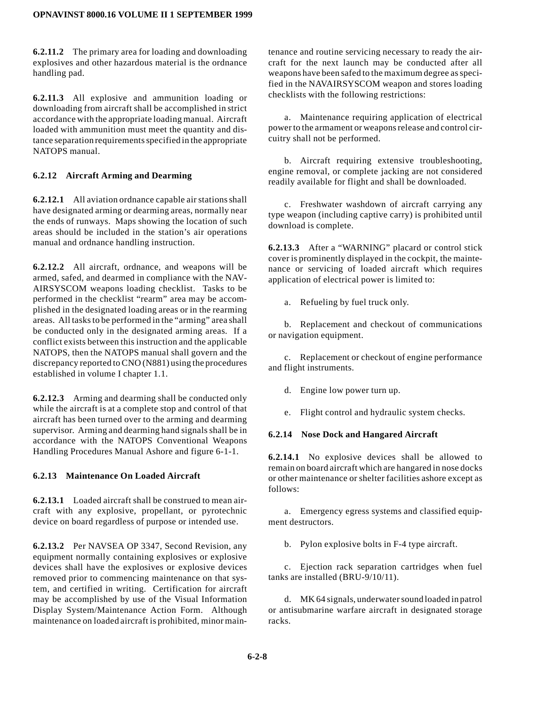**6.2.11.2** The primary area for loading and downloading explosives and other hazardous material is the ordnance handling pad.

**6.2.11.3** All explosive and ammunition loading or downloading from aircraft shall be accomplished in strict accordance with the appropriate loading manual. Aircraft loaded with ammunition must meet the quantity and distance separation requirements specified in the appropriate NATOPS manual.

## **6.2.12 Aircraft Arming and Dearming**

**6.2.12.1** All aviation ordnance capable air stations shall have designated arming or dearming areas, normally near the ends of runways. Maps showing the location of such areas should be included in the station's air operations manual and ordnance handling instruction.

**6.2.12.2** All aircraft, ordnance, and weapons will be armed, safed, and dearmed in compliance with the NAV-AIRSYSCOM weapons loading checklist. Tasks to be performed in the checklist "rearm" area may be accomplished in the designated loading areas or in the rearming areas. All tasks to be performed in the "arming" area shall be conducted only in the designated arming areas. If a conflict exists between this instruction and the applicable NATOPS, then the NATOPS manual shall govern and the discrepancy reported to CNO (N881) using the procedures established in volume I chapter 1.1.

**6.2.12.3** Arming and dearming shall be conducted only while the aircraft is at a complete stop and control of that aircraft has been turned over to the arming and dearming supervisor. Arming and dearming hand signals shall be in accordance with the NATOPS Conventional Weapons Handling Procedures Manual Ashore and figure 6-1-1.

## **6.2.13 Maintenance On Loaded Aircraft**

**6.2.13.1** Loaded aircraft shall be construed to mean aircraft with any explosive, propellant, or pyrotechnic device on board regardless of purpose or intended use.

**6.2.13.2** Per NAVSEA OP 3347, Second Revision, any equipment normally containing explosives or explosive devices shall have the explosives or explosive devices removed prior to commencing maintenance on that system, and certified in writing. Certification for aircraft may be accomplished by use of the Visual Information Display System/Maintenance Action Form. Although maintenance on loaded aircraft is prohibited, minor maintenance and routine servicing necessary to ready the aircraft for the next launch may be conducted after all weapons have been safed to the maximum degree as specified in the NAVAIRSYSCOM weapon and stores loading checklists with the following restrictions:

a. Maintenance requiring application of electrical power to the armament or weapons release and control circuitry shall not be performed.

b. Aircraft requiring extensive troubleshooting, engine removal, or complete jacking are not considered readily available for flight and shall be downloaded.

c. Freshwater washdown of aircraft carrying any type weapon (including captive carry) is prohibited until download is complete.

**6.2.13.3** After a "WARNING" placard or control stick cover is prominently displayed in the cockpit, the maintenance or servicing of loaded aircraft which requires application of electrical power is limited to:

a. Refueling by fuel truck only.

b. Replacement and checkout of communications or navigation equipment.

c. Replacement or checkout of engine performance and flight instruments.

d. Engine low power turn up.

e. Flight control and hydraulic system checks.

#### **6.2.14 Nose Dock and Hangared Aircraft**

**6.2.14.1** No explosive devices shall be allowed to remain on board aircraft which are hangared in nose docks or other maintenance or shelter facilities ashore except as follows:

a. Emergency egress systems and classified equipment destructors.

b. Pylon explosive bolts in F-4 type aircraft.

c. Ejection rack separation cartridges when fuel tanks are installed (BRU-9/10/11).

d. MK 64 signals, underwater sound loaded in patrol or antisubmarine warfare aircraft in designated storage racks.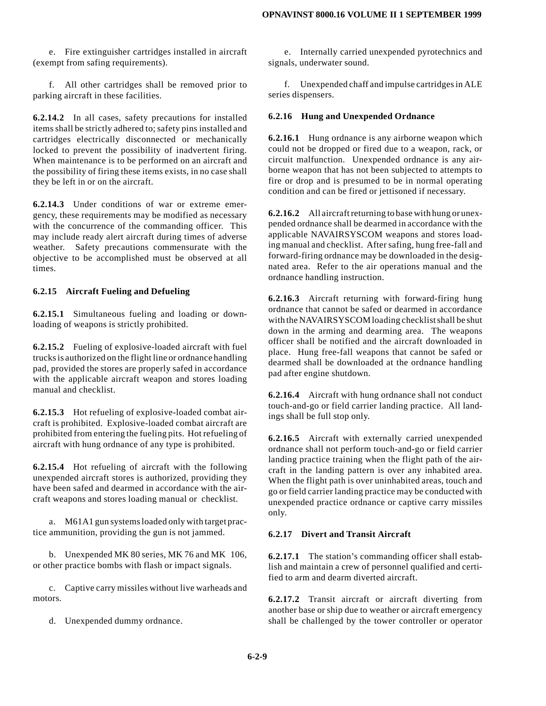e. Fire extinguisher cartridges installed in aircraft (exempt from safing requirements).

f. All other cartridges shall be removed prior to parking aircraft in these facilities.

**6.2.14.2** In all cases, safety precautions for installed items shall be strictly adhered to; safety pins installed and cartridges electrically disconnected or mechanically locked to prevent the possibility of inadvertent firing. When maintenance is to be performed on an aircraft and the possibility of firing these items exists, in no case shall they be left in or on the aircraft.

**6.2.14.3** Under conditions of war or extreme emergency, these requirements may be modified as necessary with the concurrence of the commanding officer. This may include ready alert aircraft during times of adverse weather. Safety precautions commensurate with the objective to be accomplished must be observed at all times.

#### **6.2.15 Aircraft Fueling and Defueling**

**6.2.15.1** Simultaneous fueling and loading or downloading of weapons is strictly prohibited.

**6.2.15.2** Fueling of explosive-loaded aircraft with fuel trucks is authorized on the flight line or ordnance handling pad, provided the stores are properly safed in accordance with the applicable aircraft weapon and stores loading manual and checklist.

**6.2.15.3** Hot refueling of explosive-loaded combat aircraft is prohibited. Explosive-loaded combat aircraft are prohibited from entering the fueling pits. Hot refueling of aircraft with hung ordnance of any type is prohibited.

**6.2.15.4** Hot refueling of aircraft with the following unexpended aircraft stores is authorized, providing they have been safed and dearmed in accordance with the aircraft weapons and stores loading manual or checklist.

a. M61A1 gun systems loaded only with target practice ammunition, providing the gun is not jammed.

b. Unexpended MK 80 series, MK 76 and MK 106, or other practice bombs with flash or impact signals.

c. Captive carry missiles without live warheads and motors.

d. Unexpended dummy ordnance.

e. Internally carried unexpended pyrotechnics and signals, underwater sound.

f. Unexpended chaff and impulse cartridges in ALE series dispensers.

#### **6.2.16 Hung and Unexpended Ordnance**

**6.2.16.1** Hung ordnance is any airborne weapon which could not be dropped or fired due to a weapon, rack, or circuit malfunction. Unexpended ordnance is any airborne weapon that has not been subjected to attempts to fire or drop and is presumed to be in normal operating condition and can be fired or jettisoned if necessary.

**6.2.16.2** All aircraft returning to base with hung or unexpended ordnance shall be dearmed in accordance with the applicable NAVAIRSYSCOM weapons and stores loading manual and checklist. After safing, hung free-fall and forward-firing ordnance may be downloaded in the designated area. Refer to the air operations manual and the ordnance handling instruction.

**6.2.16.3** Aircraft returning with forward-firing hung ordnance that cannot be safed or dearmed in accordance with the NAVAIRSYSCOM loading checklist shall be shut down in the arming and dearming area. The weapons officer shall be notified and the aircraft downloaded in place. Hung free-fall weapons that cannot be safed or dearmed shall be downloaded at the ordnance handling pad after engine shutdown.

**6.2.16.4** Aircraft with hung ordnance shall not conduct touch-and-go or field carrier landing practice. All landings shall be full stop only.

**6.2.16.5** Aircraft with externally carried unexpended ordnance shall not perform touch-and-go or field carrier landing practice training when the flight path of the aircraft in the landing pattern is over any inhabited area. When the flight path is over uninhabited areas, touch and go or field carrier landing practice may be conducted with unexpended practice ordnance or captive carry missiles only.

### **6.2.17 Divert and Transit Aircraft**

**6.2.17.1** The station's commanding officer shall establish and maintain a crew of personnel qualified and certified to arm and dearm diverted aircraft.

**6.2.17.2** Transit aircraft or aircraft diverting from another base or ship due to weather or aircraft emergency shall be challenged by the tower controller or operator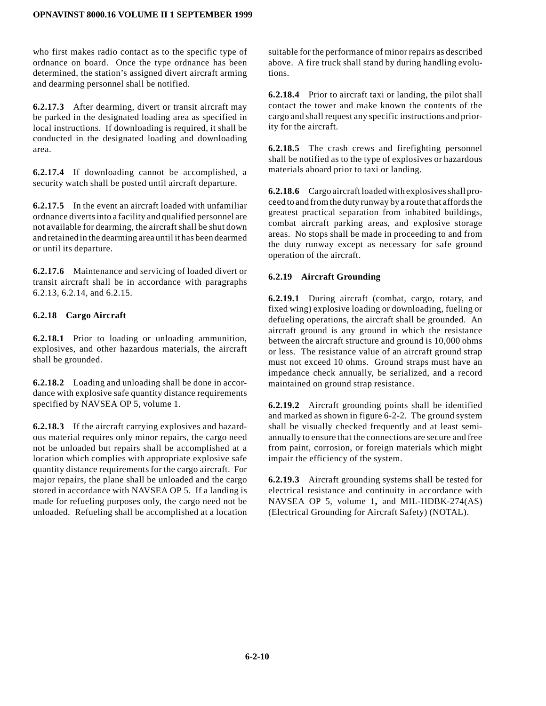who first makes radio contact as to the specific type of ordnance on board. Once the type ordnance has been determined, the station's assigned divert aircraft arming and dearming personnel shall be notified.

**6.2.17.3** After dearming, divert or transit aircraft may be parked in the designated loading area as specified in local instructions. If downloading is required, it shall be conducted in the designated loading and downloading area.

**6.2.17.4** If downloading cannot be accomplished, a security watch shall be posted until aircraft departure.

**6.2.17.5** In the event an aircraft loaded with unfamiliar ordnance diverts into a facility and qualified personnel are not available for dearming, the aircraft shall be shut down andretainedin the dearming area until it has beendearmed or until its departure.

**6.2.17.6** Maintenance and servicing of loaded divert or transit aircraft shall be in accordance with paragraphs 6.2.13, 6.2.14, and 6.2.15.

## **6.2.18 Cargo Aircraft**

**6.2.18.1** Prior to loading or unloading ammunition, explosives, and other hazardous materials, the aircraft shall be grounded.

**6.2.18.2** Loading and unloading shall be done in accordance with explosive safe quantity distance requirements specified by NAVSEA OP 5, volume 1.

**6.2.18.3** If the aircraft carrying explosives and hazardous material requires only minor repairs, the cargo need not be unloaded but repairs shall be accomplished at a location which complies with appropriate explosive safe quantity distance requirements for the cargo aircraft. For major repairs, the plane shall be unloaded and the cargo stored in accordance with NAVSEA OP 5. If a landing is made for refueling purposes only, the cargo need not be unloaded. Refueling shall be accomplished at a location

suitable for the performance of minor repairs as described above. A fire truck shall stand by during handling evolutions.

**6.2.18.4** Prior to aircraft taxi or landing, the pilot shall contact the tower and make known the contents of the cargo and shall request any specific instructions and priority for the aircraft.

**6.2.18.5** The crash crews and firefighting personnel shall be notified as to the type of explosives or hazardous materials aboard prior to taxi or landing.

**6.2.18.6** Cargo aircraft loaded with explosives shall proceed to and from the duty runway by a route that affords the greatest practical separation from inhabited buildings, combat aircraft parking areas, and explosive storage areas. No stops shall be made in proceeding to and from the duty runway except as necessary for safe ground operation of the aircraft.

## **6.2.19 Aircraft Grounding**

**6.2.19.1** During aircraft (combat, cargo, rotary, and fixed wing) explosive loading or downloading, fueling or defueling operations, the aircraft shall be grounded. An aircraft ground is any ground in which the resistance between the aircraft structure and ground is 10,000 ohms or less. The resistance value of an aircraft ground strap must not exceed 10 ohms. Ground straps must have an impedance check annually, be serialized, and a record maintained on ground strap resistance.

**6.2.19.2** Aircraft grounding points shall be identified and marked as shown in figure 6-2-2. The ground system shall be visually checked frequently and at least semiannually to ensure that the connections are secure and free from paint, corrosion, or foreign materials which might impair the efficiency of the system.

**6.2.19.3** Aircraft grounding systems shall be tested for electrical resistance and continuity in accordance with NAVSEA OP 5, volume 1**,** and MIL-HDBK-274(AS) (Electrical Grounding for Aircraft Safety) (NOTAL).